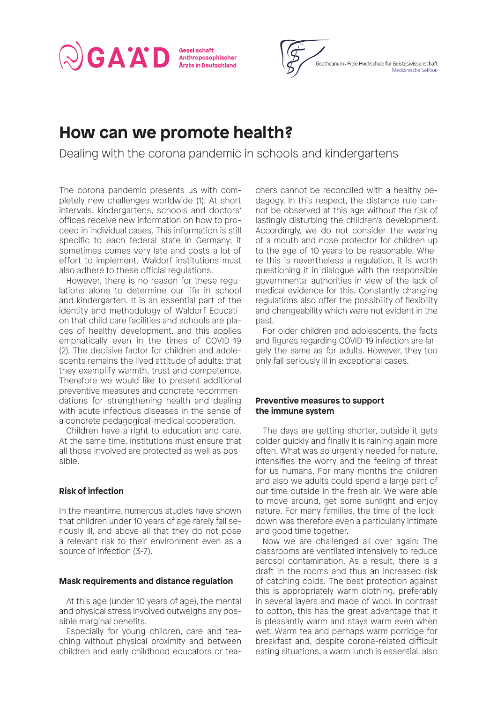Gesellschaft Anthroposophischer Ärzte in Deutschland



# **How can we promote health?**

Dealing with the corona pandemic in schools and kindergartens

The corona pandemic presents us with completely new challenges worldwide (1). At short intervals, kindergartens, schools and doctors' offices receive new information on how to proceed in individual cases. This information is still specific to each federal state in Germany; it sometimes comes very late and costs a lot of effort to implement. Waldorf institutions must also adhere to these official regulations.

GAAD

However, there is no reason for these regulations alone to determine our life in school and kindergarten. It is an essential part of the identity and methodology of Waldorf Education that child care facilities and schools are places of healthy development, and this applies emphatically even in the times of COVID-19 (2). The decisive factor for children and adolescents remains the lived attitude of adults: that they exemplify warmth, trust and competence. Therefore we would like to present additional preventive measures and concrete recommendations for strengthening health and dealing with acute infectious diseases in the sense of a concrete pedagogical-medical cooperation.

Children have a right to education and care. At the same time, institutions must ensure that all those involved are protected as well as possible.

# **Risk of infection**

In the meantime, numerous studies have shown that children under 10 years of age rarely fall seriously ill, and above all that they do not pose a relevant risk to their environment even as a source of infection (3-7).

# **Mask requirements and distance regulation**

At this age (under 10 years of age), the mental and physical stress involved outweighs any possible marginal benefits.

Especially for young children, care and teaching without physical proximity and between children and early childhood educators or teachers cannot be reconciled with a healthy pedagogy. In this respect, the distance rule cannot be observed at this age without the risk of lastingly disturbing the children's development. Accordingly, we do not consider the wearing of a mouth and nose protector for children up to the age of 10 years to be reasonable. Where this is nevertheless a regulation, it is worth questioning it in dialogue with the responsible governmental authorities in view of the lack of medical evidence for this. Constantly changing regulations also offer the possibility of flexibility and changeability which were not evident in the past.

For older children and adolescents, the facts and figures regarding COVID-19 infection are largely the same as for adults. However, they too only fall seriously ill in exceptional cases.

# **Preventive measures to support the immune system**

The days are getting shorter, outside it gets colder quickly and finally it is raining again more often. What was so urgently needed for nature, intensifies the worry and the feeling of threat for us humans. For many months the children and also we adults could spend a large part of our time outside in the fresh air. We were able to move around, get some sunlight and enjoy nature. For many families, the time of the lockdown was therefore even a particularly intimate and good time together.

Now we are challenged all over again: The classrooms are ventilated intensively to reduce aerosol contamination. As a result, there is a draft in the rooms and thus an increased risk of catching colds. The best protection against this is appropriately warm clothing, preferably in several layers and made of wool. In contrast to cotton, this has the great advantage that it is pleasantly warm and stays warm even when wet. Warm tea and perhaps warm porridge for breakfast and, despite corona-related difficult eating situations, a warm lunch is essential, also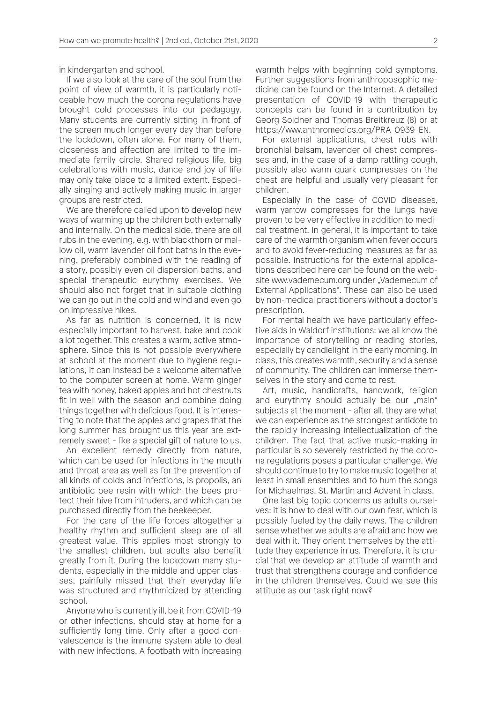in kindergarten and school.

If we also look at the care of the soul from the point of view of warmth, it is particularly noticeable how much the corona regulations have brought cold processes into our pedagogy. Many students are currently sitting in front of the screen much longer every day than before the lockdown, often alone. For many of them, closeness and affection are limited to the immediate family circle. Shared religious life, big celebrations with music, dance and joy of life may only take place to a limited extent. Especially singing and actively making music in larger groups are restricted.

We are therefore called upon to develop new ways of warming up the children both externally and internally. On the medical side, there are oil rubs in the evening, e.g. with blackthorn or mallow oil, warm lavender oil foot baths in the evening, preferably combined with the reading of a story, possibly even oil dispersion baths, and special therapeutic eurythmy exercises. We should also not forget that in suitable clothing we can go out in the cold and wind and even go on impressive hikes.

As far as nutrition is concerned, it is now especially important to harvest, bake and cook a lot together. This creates a warm, active atmosphere. Since this is not possible everywhere at school at the moment due to hygiene regulations, it can instead be a welcome alternative to the computer screen at home. Warm ginger tea with honey, baked apples and hot chestnuts fit in well with the season and combine doing things together with delicious food. It is interesting to note that the apples and grapes that the long summer has brought us this year are extremely sweet - like a special gift of nature to us.

An excellent remedy directly from nature, which can be used for infections in the mouth and throat area as well as for the prevention of all kinds of colds and infections, is propolis, an antibiotic bee resin with which the bees protect their hive from intruders, and which can be purchased directly from the beekeeper.

For the care of the life forces altogether a healthy rhythm and sufficient sleep are of all greatest value. This applies most strongly to the smallest children, but adults also benefit greatly from it. During the lockdown many students, especially in the middle and upper classes, painfully missed that their everyday life was structured and rhythmicized by attending school.

Anyone who is currently ill, be it from COVID-19 or other infections, should stay at home for a sufficiently long time. Only after a good convalescence is the immune system able to deal with new infections. A footbath with increasing warmth helps with beginning cold symptoms. Further suggestions from anthroposophic medicine can be found on the Internet. A detailed presentation of COVID-19 with therapeutic concepts can be found in a contribution by Georg Soldner and Thomas Breitkreuz (8) or at https://www.anthromedics.org/PRA-0939-EN.

For external applications, chest rubs with bronchial balsam, lavender oil chest compresses and, in the case of a damp rattling cough, possibly also warm quark compresses on the chest are helpful and usually very pleasant for children.

Especially in the case of COVID diseases, warm yarrow compresses for the lungs have proven to be very effective in addition to medical treatment. In general, it is important to take care of the warmth organism when fever occurs and to avoid fever-reducing measures as far as possible. Instructions for the external applications described here can be found on the website www.vademecum.org under .Vademecum of External Applications". These can also be used by non-medical practitioners without a doctor's prescription.

For mental health we have particularly effective aids in Waldorf institutions: we all know the importance of storytelling or reading stories, especially by candlelight in the early morning. In class, this creates warmth, security and a sense of community. The children can immerse themselves in the story and come to rest.

Art, music, handicrafts, handwork, religion and eurythmy should actually be our "main" subjects at the moment - after all, they are what we can experience as the strongest antidote to the rapidly increasing intellectualization of the children. The fact that active music-making in particular is so severely restricted by the corona regulations poses a particular challenge. We should continue to try to make music together at least in small ensembles and to hum the songs for Michaelmas, St. Martin and Advent in class.

One last big topic concerns us adults ourselves: it is how to deal with our own fear, which is possibly fueled by the daily news. The children sense whether we adults are afraid and how we deal with it. They orient themselves by the attitude they experience in us. Therefore, it is crucial that we develop an attitude of warmth and trust that strengthens courage and confidence in the children themselves. Could we see this attitude as our task right now?